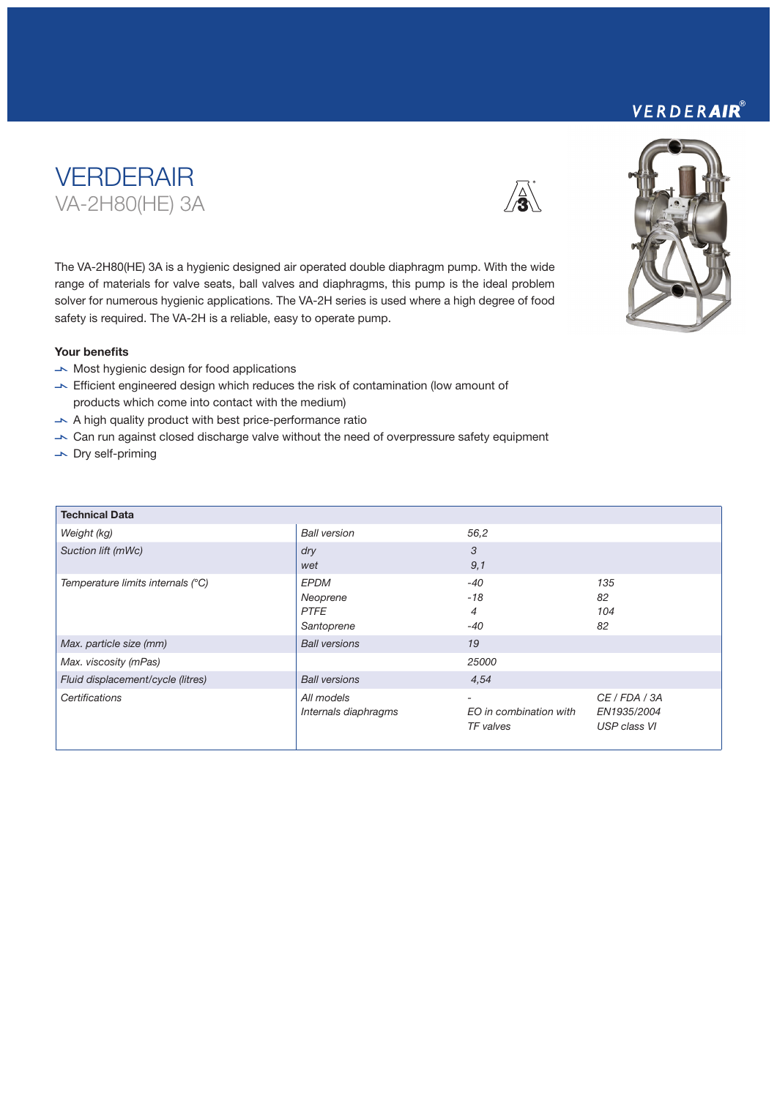### VERDERAIR®





The VA-2H80(HE) 3A is a hygienic designed air operated double diaphragm pump. With the wide range of materials for valve seats, ball valves and diaphragms, this pump is the ideal problem solver for numerous hygienic applications. The VA-2H series is used where a high degree of food safety is required. The VA-2H is a reliable, easy to operate pump.

#### Your benefits

- $\rightarrow$  Most hygienic design for food applications
- $\blacktriangleright$  Efficient engineered design which reduces the risk of contamination (low amount of products which come into contact with the medium)
- $\blacktriangleright$  A high quality product with best price-performance ratio
- V Can run against closed discharge valve without the need of overpressure safety equipment
- $\overline{\phantom{a}}$  Dry self-priming

| <b>Technical Data</b>             |                                                      |                                          |                                              |
|-----------------------------------|------------------------------------------------------|------------------------------------------|----------------------------------------------|
| Weight (kg)                       | <b>Ball version</b>                                  | 56,2                                     |                                              |
| Suction lift (mWc)                | dry<br>wet                                           | 3<br>9,1                                 |                                              |
| Temperature limits internals (°C) | <b>EPDM</b><br>Neoprene<br><b>PTFE</b><br>Santoprene | $-40$<br>$-18$<br>4<br>$-40$             | 135<br>82<br>104<br>82                       |
| Max. particle size (mm)           | <b>Ball versions</b>                                 | 19                                       |                                              |
| Max. viscosity (mPas)             |                                                      | 25000                                    |                                              |
| Fluid displacement/cycle (litres) | <b>Ball versions</b>                                 | 4,54                                     |                                              |
| Certifications                    | All models<br>Internals diaphragms                   | -<br>EO in combination with<br>TF valves | CE / FDA / 3A<br>EN1935/2004<br>USP class VI |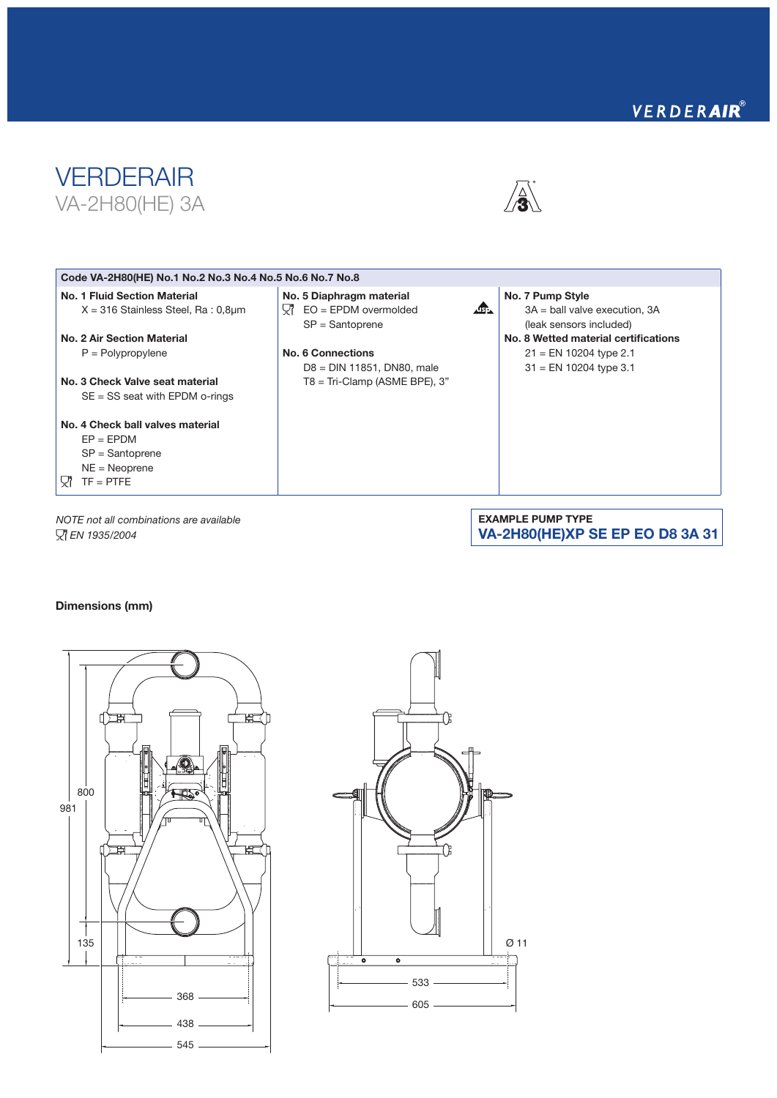## VERDERAIR®





#### Code VA-2H80(HE) No.1 No.2 No.3 No.4 No.5 No.6 No.7 No.8 No. 1 Fluid Section Material No. 5 Diaphragm material No. 7 Pump Style  $\mathbf{r}$  $\overline{\mathsf{Q}}$  EO = EPDM overmolded X = 316 Stainless Steel, Ra : 0,8µm 3A = ball valve execution, 3A SP = Santoprene (leak sensors included) No. 2 Air Section Material No. 8 Wetted material certifications P = Polypropylene No. 6 Connections 21 = EN 10204 type 2.1 D8 = DIN 11851, DN80, male 31 = EN 10204 type 3.1 No. 3 Check Valve seat material T8 = Tri-Clamp (ASME BPE), 3" SE = SS seat with EPDM o-rings No. 4 Check ball valves material  $EP = EPDM$ SP = Santoprene

*NOTE not all combinations are available EN 1935/2004*

EXAMPLE PUMP TYPE VA-2H80(HE)XP SE EP EO D8 3A 31

#### Dimensions (mm)

NE = Neoprene  $\nabla$  TF = PTFE